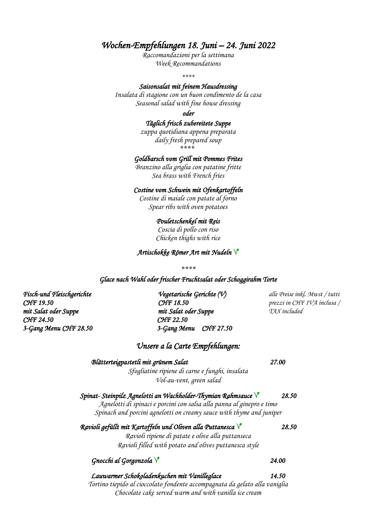### *Wochen-Empfehlungen 18. Juni – 24. Juni 2022*

*Raccomandazioni per la settimana Week Recommandations*

*\*\*\*\**

#### *Saisonsalat mit feinem Hausdressing*

*Insalata di stagione con un buon condimento de la casa Seasonal salad with fine house dressing*

*oder* 

#### *Täglich frisch zubereitete Suppe*

*zuppa quotidiana appena preparata daily fresh prepared soup \*\*\*\**

#### *Goldbarsch vom Grill mit Pommes Frites*

*Branzino alla griglia con patatine fritte Sea brass with French fries*

#### *Costine vom Schwein mit Ofenkartoffeln*

*Costine di maiale con patate al forno Spear ribs with oven potatoes*

#### *Pouletschenkel mit Reis*

*Coscia di pollo con riso Chicken thighs with rice*

#### *Artischokke Römer Art mit Nudeln*

*\*\*\*\**

#### *Glace nach Wahl oder frischer Fruchtsalat oder Schoggirahm Torte*

*CHF 24.50 CHF 22.50* 

*Fisch-und Fleischgerichte Vegetarische Gerichte (V) alle Preise inkl. Mwst / tutti CHF 19.50 CHF 18.50 prezzi in CHF IVA inclusa / mit Salat oder Suppe mit Salat oder Suppe TAX included 3-Gang Menu CHF 28.50 3-Gang Menu CHF 27.50* 

#### *Unsere a la Carte Empfehlungen:*

### *Blätterteigpastetli mit grünem Salat 27.00 Sfogliatine ripiene di carne e funghi, insalata Vol-au-vent, green salad Spinat- Steinpilz Agnelotti an Wachholder-Thymian Rahmsauce 28.50 Agnelotti di spinaci e porcini con salsa alla panna al ginepro e timo Spinach and porcini agnelotti on creamy sauce with thyme and juniper Ravioli gefüllt mit Kartoffeln und Oliven alla Puttanesca 28.50 Ravioli ripiene di patate e olive alla puttanseca Ravioli filled with potato and olives puttanesca style Gnocchi al Gorgonzola 24.00 Lauwarmer Schokoladenkuchen mit Vanilleglace 14.50 Tortino tiepido al cioccolato fondente accompagnata da gelato alla vaniglia*

*Chocolate cake served warm and with vanilla ice cream*